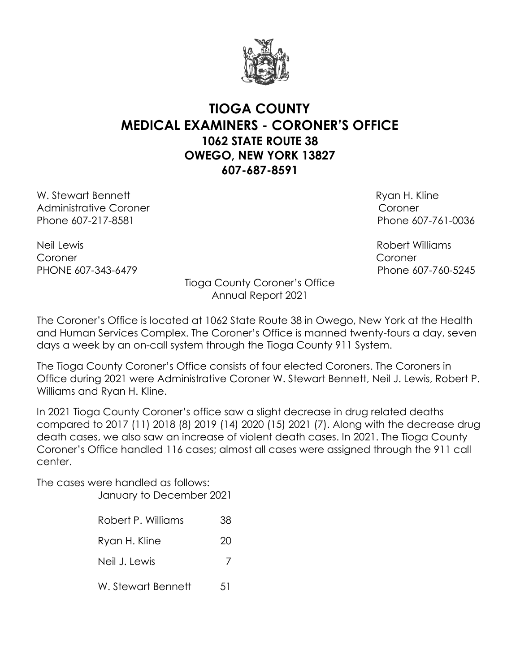

## **TIOGA COUNTY MEDICAL EXAMINERS - CORONER'S OFFICE 1062 STATE ROUTE 38 OWEGO, NEW YORK 13827 607-687-8591**

W. Stewart Bennett **Ryan H. Kline** Administrative Coroner Coroner Phone 607-217-8581 Phone 607-761-0036

Neil Lewis Robert Williams Coroner Coroner PHONE 607-343-6479 Phone 607-760-5245

Tioga County Coroner's Office Annual Report 2021

The Coroner's Office is located at 1062 State Route 38 in Owego, New York at the Health and Human Services Complex. The Coroner's Office is manned twenty-fours a day, seven days a week by an on-call system through the Tioga County 911 System.

The Tioga County Coroner's Office consists of four elected Coroners. The Coroners in Office during 2021 were Administrative Coroner W. Stewart Bennett, Neil J. Lewis, Robert P. Williams and Ryan H. Kline.

In 2021 Tioga County Coroner's office saw a slight decrease in drug related deaths compared to 2017 (11) 2018 (8) 2019 (14) 2020 (15) 2021 (7). Along with the decrease drug death cases, we also saw an increase of violent death cases. In 2021. The Tioga County Coroner's Office handled 116 cases; almost all cases were assigned through the 911 call center.

The cases were handled as follows: January to December 2021

- 
- Robert P. Williams 38
- Ryan H. Kline 20
- Neil J. Lewis 7
- W. Stewart Bennett 51